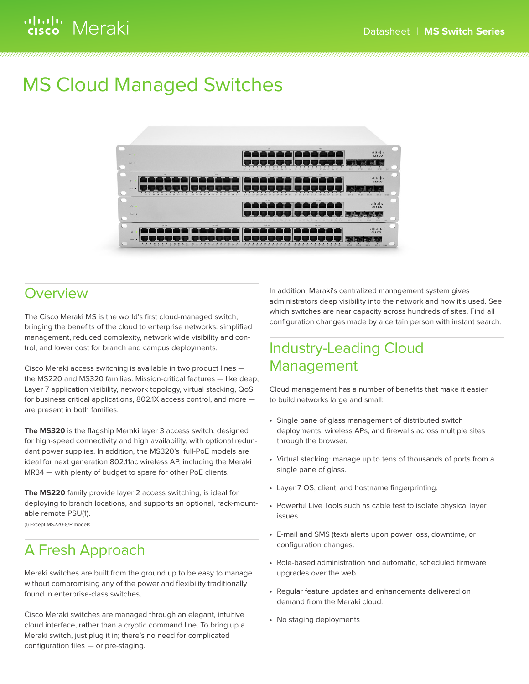# ululu Meraki

# MS Cloud Managed Switches



# **Overview**

The Cisco Meraki MS is the world's first cloud-managed switch, bringing the benefits of the cloud to enterprise networks: simplified management, reduced complexity, network wide visibility and control, and lower cost for branch and campus deployments.

Cisco Meraki access switching is available in two product lines the MS220 and MS320 families. Mission-critical features — like deep, Layer 7 application visibility, network topology, virtual stacking, QoS for business critical applications, 802.1X access control, and more are present in both families.

**The MS320** is the flagship Meraki layer 3 access switch, designed for high-speed connectivity and high availability, with optional redundant power supplies. In addition, the MS320's full-PoE models are ideal for next generation 802.11ac wireless AP, including the Meraki MR34 — with plenty of budget to spare for other PoE clients.

**The MS220** family provide layer 2 access switching, is ideal for deploying to branch locations, and supports an optional, rack-mountable remote PSU(1).

(1) Except MS220-8/P models.

# A Fresh Approach

Meraki switches are built from the ground up to be easy to manage without compromising any of the power and flexibility traditionally found in enterprise-class switches.

Cisco Meraki switches are managed through an elegant, intuitive cloud interface, rather than a cryptic command line. To bring up a Meraki switch, just plug it in; there's no need for complicated configuration files — or pre-staging.

In addition, Meraki's centralized management system gives administrators deep visibility into the network and how it's used. See which switches are near capacity across hundreds of sites. Find all configuration changes made by a certain person with instant search.

# Industry-Leading Cloud Management

Cloud management has a number of benefits that make it easier to build networks large and small:

- Single pane of glass management of distributed switch deployments, wireless APs, and firewalls across multiple sites through the browser.
- Virtual stacking: manage up to tens of thousands of ports from a single pane of glass.
- Layer 7 OS, client, and hostname fingerprinting.
- Powerful Live Tools such as cable test to isolate physical layer issues.
- E-mail and SMS (text) alerts upon power loss, downtime, or configuration changes.
- Role-based administration and automatic, scheduled firmware upgrades over the web.
- Regular feature updates and enhancements delivered on demand from the Meraki cloud.
- No staging deployments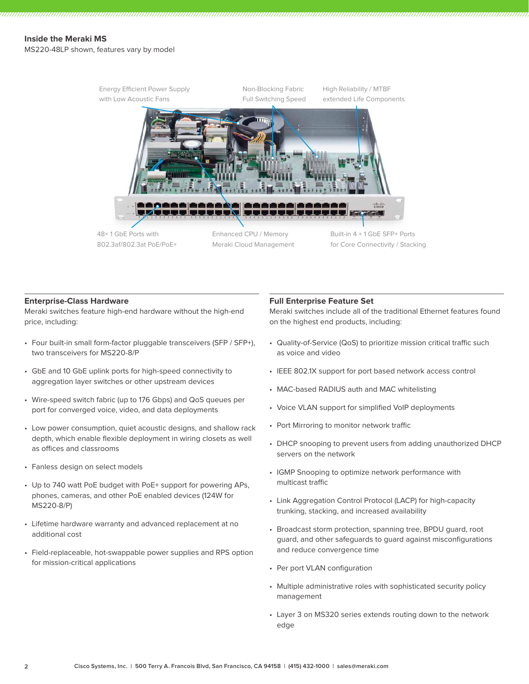MS220-48LP shown, features vary by model



#### **Enterprise-Class Hardware**

Meraki switches feature high-end hardware without the high-end price, including:

- Four built-in small form-factor pluggable transceivers (SFP / SFP+), two transceivers for MS220-8/P
- GbE and 10 GbE uplink ports for high-speed connectivity to aggregation layer switches or other upstream devices
- Wire-speed switch fabric (up to 176 Gbps) and QoS queues per port for converged voice, video, and data deployments
- Low power consumption, quiet acoustic designs, and shallow rack depth, which enable flexible deployment in wiring closets as well as offices and classrooms
- Fanless design on select models
- Up to 740 watt PoE budget with PoE+ support for powering APs, phones, cameras, and other PoE enabled devices (124W for MS220-8/P)
- Lifetime hardware warranty and advanced replacement at no additional cost
- Field-replaceable, hot-swappable power supplies and RPS option for mission-critical applications

#### **Full Enterprise Feature Set**

Meraki switches include all of the traditional Ethernet features found on the highest end products, including:

- Quality-of-Service (QoS) to prioritize mission critical traffic such as voice and video
- IEEE 802.1X support for port based network access control
- MAC-based RADIUS auth and MAC whitelisting
- Voice VLAN support for simplified VoIP deployments
- Port Mirroring to monitor network traffic
- DHCP snooping to prevent users from adding unauthorized DHCP servers on the network
- IGMP Snooping to optimize network performance with multicast traffic
- Link Aggregation Control Protocol (LACP) for high-capacity trunking, stacking, and increased availability
- Broadcast storm protection, spanning tree, BPDU guard, root guard, and other safeguards to guard against misconfigurations and reduce convergence time
- Per port VLAN configuration
- Multiple administrative roles with sophisticated security policy management
- Layer 3 on MS320 series extends routing down to the network edge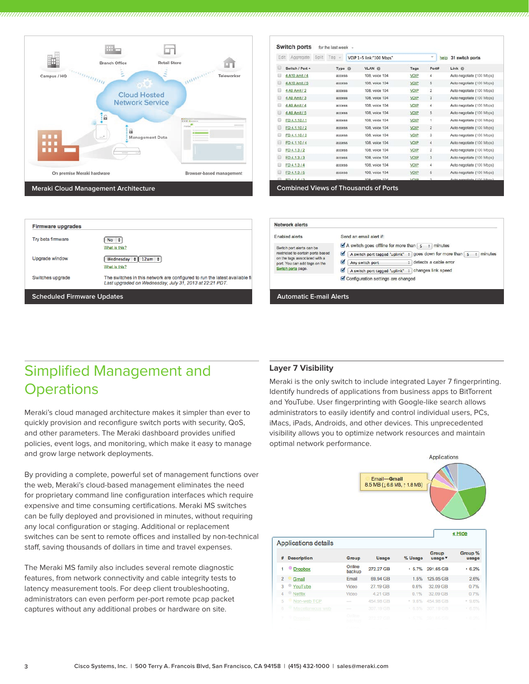

| Edit   | Aggregate<br>Split | Tag                 | VOIP 1-5 link:"100 Mbos" |                           | ×<br>help               | 31 switch ports           |  |
|--------|--------------------|---------------------|--------------------------|---------------------------|-------------------------|---------------------------|--|
|        | Switch / Port 4    | Type <sup>(1)</sup> | <b>VLAN</b> @            | Tags                      | Port#                   | Link ®                    |  |
| ▣      | 4 A10 Amit / 4     | <b>access</b>       | 108, voice 104           | VOIP                      | 4                       | Auto negotiate (100 Mbps) |  |
| ▣      | 4 A10 Amit / 5     | access              | 108, voice 104           | VOIP                      | 5                       | Auto negotiate (100 Mbps) |  |
| Ð      | 4 A9 Amit / 2      | access              | 108, voice 104           | VOIP                      | $\overline{\mathbf{2}}$ | Auto negotiate (100 Mbps) |  |
| Ð      | 4 A9 Amit / 3      | access              | 108, voice 104           | VOIP                      | 3                       | Auto negotiate (100 Mbps) |  |
|        | 4 A9 Amit / 4      | access              | 108, voice 104           | VOIP                      | 4                       | Auto negotiate (100 Mbps) |  |
|        | 4 A9 Amit / 5      | <b>access</b>       | 108, voice 104           | <b>VOIP</b>               | 5                       | Auto negotiate (100 Mbps) |  |
|        | FD4.1.10/1         | <b>access</b>       | 108, voice 104           | VOIP                      | 1                       | Auto negotiate (100 Mbps) |  |
|        | FD 4.1.10/2        | access              | 108, voice 104           | VOIP                      | $\mathbf{z}$            | Auto negotiate (100 Mbps) |  |
|        | FD 4.1.10/3        | access              | 108, voice 104           | VOIP                      | 3                       | Auto negotiate (100 Mbps) |  |
|        | FD 4.1.10/4        | access              | 108, voice 104           | VOIP                      | 4                       | Auto negotiate (100 Mbps) |  |
| 6      | FD 4.1.3/2         | access              | 108, voice 104           | VOIP                      | $\overline{2}$          | Auto negotiate (100 Mbps) |  |
|        | FD 4.1.3/3         | access              | 108, voice 104           | VOIP                      | 3                       | Auto negotiate (100 Mbps) |  |
|        | FD4.1.3/4          | access              | 108, voice 104           | VOIP                      | 4                       | Auto negotiate (100 Mbps) |  |
| $\Box$ | FD 4.1.3/5         | access              | 108, voice 104           | VOIP                      | 5                       | Auto negotiate (100 Mbps) |  |
|        | <b>FD414/2</b>     | princes             | 108 vnine 104            | <b><i><u>WHIP</u></i></b> | ä                       | Auto nonotiate (100 Mbns) |  |

| <b>Firmware upgrades</b> | Network alerts                                                                                                                         |                                                                                                                                                        |                   |
|--------------------------|----------------------------------------------------------------------------------------------------------------------------------------|--------------------------------------------------------------------------------------------------------------------------------------------------------|-------------------|
| Try beta firmware        | No $\div$                                                                                                                              | Enabled alerts                                                                                                                                         | Sen<br>$\nabla$ A |
| Upgrade window           | What is this?<br>Wednesday $\div$ 12am $\div$<br>What is this?                                                                         | Switch port alerts can be<br>restricted to certain ports based<br>on the tags associated with a<br>port. You can add tags on the<br>Switch ports page. | M<br>ø<br>☑       |
| Switches upgrade         | The switches in this network are configured to run the latest available fir<br>Last upgraded on Wednesday, July 31, 2013 at 22:21 PDT. |                                                                                                                                                        | Mс                |
|                          | <b>Scheduled Firmware Updates</b>                                                                                                      |                                                                                                                                                        |                   |

| Enabled alerts                                                                                                                                         | Send an email alert if:                                                                                                                                                                                                                                          |
|--------------------------------------------------------------------------------------------------------------------------------------------------------|------------------------------------------------------------------------------------------------------------------------------------------------------------------------------------------------------------------------------------------------------------------|
| Switch port alerts can be<br>restricted to certain ports based<br>on the tags associated with a<br>port. You can add tags on the<br>Switch ports page. | A switch goes offline for more than $5 \div$<br>minutes<br>M<br>goes down for more than 5<br>minutes<br>A switch port tagged "uplink" :<br>M<br>e detects a cable error<br>Any switch port<br>M<br>changes link speed<br>A switch port tagged "uplink"<br>$\div$ |
|                                                                                                                                                        | Configuration settings are changed                                                                                                                                                                                                                               |

# Simplified Management and **Operations**

Meraki's cloud managed architecture makes it simpler than ever to quickly provision and reconfigure switch ports with security, QoS, and other parameters. The Meraki dashboard provides unified policies, event logs, and monitoring, which make it easy to manage and grow large network deployments.

By providing a complete, powerful set of management functions over the web, Meraki's cloud-based management eliminates the need for proprietary command line configuration interfaces which require expensive and time consuming certifications. Meraki MS switches can be fully deployed and provisioned in minutes, without requiring any local configuration or staging. Additional or replacement switches can be sent to remote offices and installed by non-technical staff, saving thousands of dollars in time and travel expenses.

The Meraki MS family also includes several remote diagnostic features, from network connectivity and cable integrity tests to latency measurement tools. For deep client troubleshooting, administrators can even perform per-port remote pcap packet captures without any additional probes or hardware on site.

### **Layer 7 Visibility**

Meraki is the only switch to include integrated Layer 7 fingerprinting. Identify hundreds of applications from business apps to BitTorrent and YouTube. User fingerprinting with Google-like search allows administrators to easily identify and control individual users, PCs, iMacs, iPads, Androids, and other devices. This unprecedented visibility allows you to optimize network resources and maintain optimal network performance.

|                          |                                      |                           |                                          |                  | Applications         |                                                              |
|--------------------------|--------------------------------------|---------------------------|------------------------------------------|------------------|----------------------|--------------------------------------------------------------|
|                          |                                      |                           | Email-Gmail<br>8.5 MB (16.6 MB, 11.8 MB) |                  |                      | « Hide                                                       |
|                          |                                      |                           |                                          |                  |                      |                                                              |
|                          | <b>Applications details</b>          |                           |                                          |                  | Group                | Group %                                                      |
|                          | <b>Description</b><br><b>Dropbox</b> | Group<br>Online<br>backup | <b>Usage</b><br>272.27 GB                | % Usage<br>.5.7% | usage v<br>291.65 GB |                                                              |
| #<br>1<br>$\overline{2}$ | Gmail                                | Email                     | 69.94 GB                                 | 1.5%             | 125.05 GB            |                                                              |
| 3                        | YouTube                              | Video                     | 27.19 GB                                 | 0.6%             | 32.09 GB             |                                                              |
| 4                        | <b>Netflix</b>                       | Video                     | 4.21 GB                                  | 0.1%             | 32.09 GB             |                                                              |
| 5                        | ٠<br>Non-web TCP                     |                           | 454.98 GB                                | 9.6%             | 454.98 GB            |                                                              |
| $\overline{6}$           | œ<br>Miscellaneous web               |                           | 307.19 GB                                | .6.5%            | 307.19 GB            | usage<br>.6.2%<br>2.6%<br>0.7%<br>0.7%<br>$-9.6%$<br>$+6.5%$ |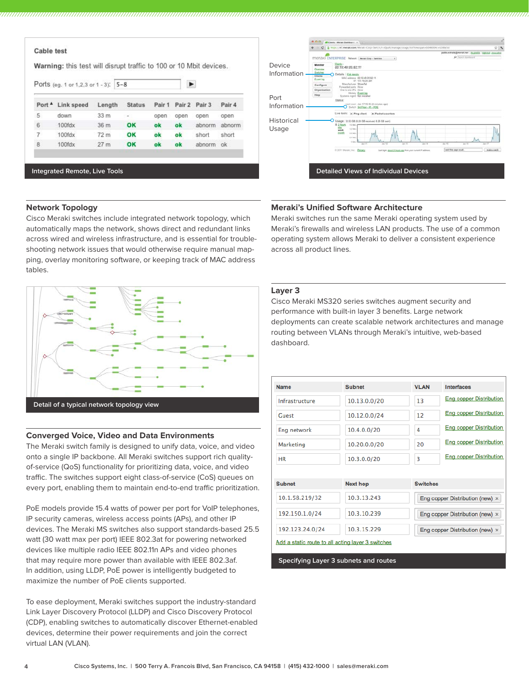|                   | Warning: this test will disrupt traffic to 100 or 10 Mbit devices. |                 |               |        |        |        |           |
|-------------------|--------------------------------------------------------------------|-----------------|---------------|--------|--------|--------|-----------|
|                   | Ports (eg. 1 or 1,2,3 or 1 - 3): 5-8                               |                 |               |        | ►      |        |           |
| Port <sup>4</sup> | Link speed                                                         | Length          | <b>Status</b> | Pair 1 | Pair 2 | Pair 3 | Pair 4    |
| 5                 | down                                                               | 33 <sub>m</sub> | $\sim$        | open   | open   | open   | open      |
| 6                 | 100 <sub>fdx</sub>                                                 | 36 m            | OK            | ok     | ok     | abnorm | abnorm    |
| 7                 | 100fdx                                                             | 72 <sub>m</sub> | OK            | ok     | ok     | short  | short     |
| 8                 | 100fdx                                                             | 27 <sub>m</sub> | OK            | ok     | ok     | abnorm | <b>ok</b> |

**Integrated Remote, Live Tools**

# Device  $-10 - 49 - 05 - 82 - 11$ Information Port Information Historical Usage **Detailed Views of Individual Devices**

### **Network Topology**

Cisco Meraki switches include integrated network topology, which automatically maps the network, shows direct and redundant links across wired and wireless infrastructure, and is essential for troubleshooting network issues that would otherwise require manual mapping, overlay monitoring software, or keeping track of MAC address tables.



### **Converged Voice, Video and Data Environments**

The Meraki switch family is designed to unify data, voice, and video onto a single IP backbone. All Meraki switches support rich qualityof-service (QoS) functionality for prioritizing data, voice, and video traffic. The switches support eight class-of-service (CoS) queues on every port, enabling them to maintain end-to-end traffic prioritization.

PoE models provide 15.4 watts of power per port for VoIP telephones, IP security cameras, wireless access points (APs), and other IP devices. The Meraki MS switches also support standards-based 25.5 watt (30 watt max per port) IEEE 802.3at for powering networked devices like multiple radio IEEE 802.11n APs and video phones that may require more power than available with IEEE 802.3af. In addition, using LLDP, PoE power is intelligently budgeted to maximize the number of PoE clients supported.

To ease deployment, Meraki switches support the industry-standard Link Layer Discovery Protocol (LLDP) and Cisco Discovery Protocol (CDP), enabling switches to automatically discover Ethernet-enabled devices, determine their power requirements and join the correct virtual LAN (VLAN).

### **Meraki's Unified Software Architecture**

Meraki switches run the same Meraki operating system used by Meraki's firewalls and wireless LAN products. The use of a common operating system allows Meraki to deliver a consistent experience across all product lines.

#### **Layer 3**

Cisco Meraki MS320 series switches augment security and performance with built-in layer 3 benefits. Large network deployments can create scalable network architectures and manage routing between VLANs through Meraki's intuitive, web-based dashboard.

| <b>Name</b>                                       | <b>Subnet</b>   | <b>VLAN</b>     | <b>Interfaces</b>                      |
|---------------------------------------------------|-----------------|-----------------|----------------------------------------|
| Infrastructure                                    | 10.13.0.0/20    | 13              | Eng copper Distribution                |
| Guest                                             | 10.12.0.0/24    | 12              | <b>Eng copper Distribution</b>         |
| Eng network                                       | 10.4.0.0/20     | 4               | <b>Eng copper Distribution</b>         |
| Marketing                                         | 10.20.0.0/20    | 20              | <b>Eng copper Distribution</b>         |
| <b>HR</b>                                         | 10.3.0.0/20     | 3               | <b>Eng copper Distribution</b>         |
|                                                   |                 |                 |                                        |
| <b>Subnet</b>                                     | <b>Next hop</b> | <b>Switches</b> |                                        |
| 10.1.58.219/32                                    | 10.3.13.243     |                 | Eng copper Distribution (new) $\times$ |
| 192.150.1.0/24                                    | 10.3.10.239     |                 | Eng copper Distribution (new) $\times$ |
| 192.123.24.0/24                                   | 10.3.15.229     |                 | Eng copper Distribution (new) $\times$ |
| Add a static route to all acting layer 3 switches |                 |                 |                                        |

**Specifying Layer 3 subnets and routes**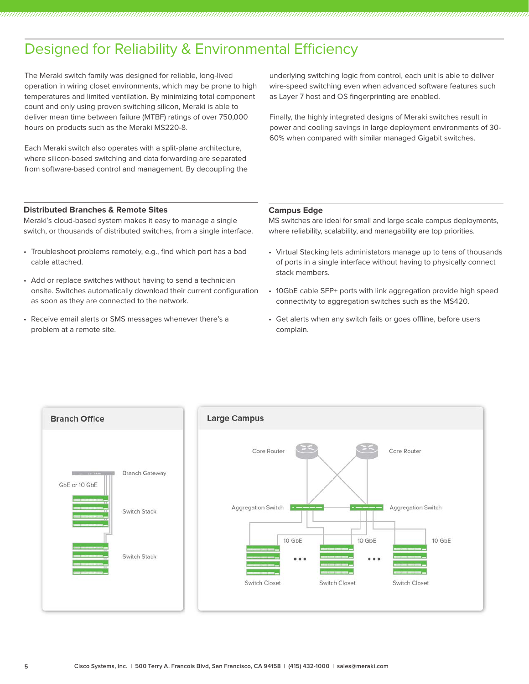# Designed for Reliability & Environmental Efficiency

The Meraki switch family was designed for reliable, long-lived operation in wiring closet environments, which may be prone to high temperatures and limited ventilation. By minimizing total component count and only using proven switching silicon, Meraki is able to deliver mean time between failure (MTBF) ratings of over 750,000 hours on products such as the Meraki MS220-8.

Each Meraki switch also operates with a split-plane architecture, where silicon-based switching and data forwarding are separated from software-based control and management. By decoupling the underlying switching logic from control, each unit is able to deliver wire-speed switching even when advanced software features such as Layer 7 host and OS fingerprinting are enabled.

Finally, the highly integrated designs of Meraki switches result in power and cooling savings in large deployment environments of 30- 60% when compared with similar managed Gigabit switches.

### **Distributed Branches & Remote Sites**

Meraki's cloud-based system makes it easy to manage a single switch, or thousands of distributed switches, from a single interface.

- Troubleshoot problems remotely, e.g., find which port has a bad cable attached.
- Add or replace switches without having to send a technician onsite. Switches automatically download their current configuration as soon as they are connected to the network.
- Receive email alerts or SMS messages whenever there's a problem at a remote site.

#### **Campus Edge**

MS switches are ideal for small and large scale campus deployments, where reliability, scalability, and managability are top priorities.

- Virtual Stacking lets administators manage up to tens of thousands of ports in a single interface without having to physically connect stack members.
- 10GbE cable SFP+ ports with link aggregation provide high speed connectivity to aggregation switches such as the MS420.
- Get alerts when any switch fails or goes offline, before users complain.

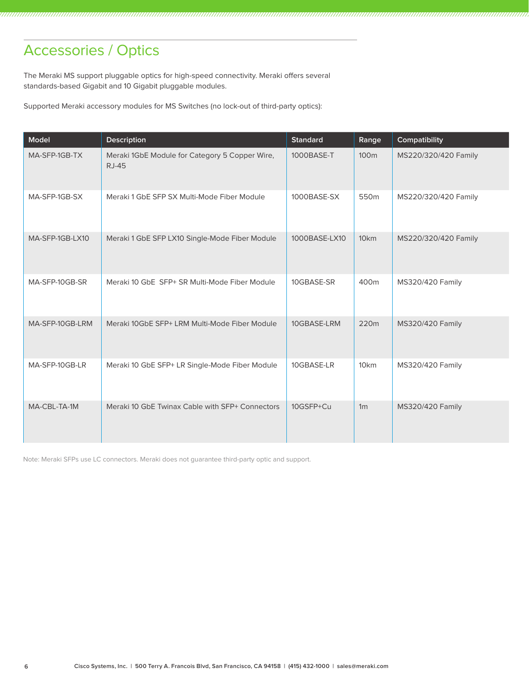# Accessories / Optics

The Meraki MS support pluggable optics for high-speed connectivity. Meraki offers several standards-based Gigabit and 10 Gigabit pluggable modules.

Supported Meraki accessory modules for MS Switches (no lock-out of third-party optics):

| Model           | <b>Description</b>                                             | <b>Standard</b> | Range            | Compatibility           |
|-----------------|----------------------------------------------------------------|-----------------|------------------|-------------------------|
| MA-SFP-1GB-TX   | Meraki 1GbE Module for Category 5 Copper Wire,<br><b>RJ-45</b> | 1000BASE-T      | 100 <sub>m</sub> | MS220/320/420 Family    |
| MA-SFP-1GB-SX   | Meraki 1 GbE SFP SX Multi-Mode Fiber Module                    | 1000BASE-SX     | 550m             | MS220/320/420 Family    |
| MA-SFP-1GB-LX10 | Meraki 1 GbE SFP LX10 Single-Mode Fiber Module                 | 1000BASE-LX10   | 10 <sub>km</sub> | MS220/320/420 Family    |
| MA-SFP-10GB-SR  | Meraki 10 GbE SFP+ SR Multi-Mode Fiber Module                  | 10GBASE-SR      | 400m             | <b>MS320/420 Family</b> |
| MA-SFP-10GB-LRM | Meraki 10GbE SFP+ LRM Multi-Mode Fiber Module                  | 10GBASE-LRM     | 220m             | <b>MS320/420 Family</b> |
| MA-SFP-10GB-LR  | Meraki 10 GbE SFP+ LR Single-Mode Fiber Module                 | 10GBASE-LR      | 10 <sub>km</sub> | <b>MS320/420 Family</b> |
| MA-CBL-TA-1M    | Meraki 10 GbE Twinax Cable with SFP+ Connectors                | 10GSFP+Cu       | 1 <sub>m</sub>   | <b>MS320/420 Family</b> |

Note: Meraki SFPs use LC connectors. Meraki does not guarantee third-party optic and support.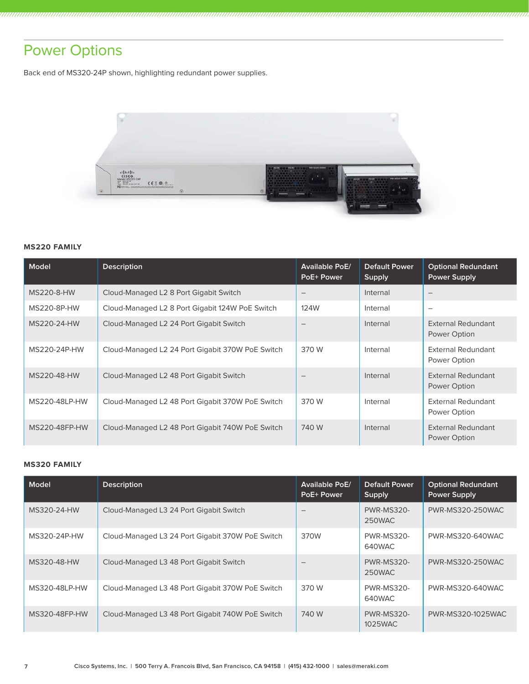# Power Options

Back end of MS320-24P shown, highlighting redundant power supplies.



### **MS220 FAMILY**

| Model         | <b>Description</b>                               | <b>Available PoE/</b><br>PoE+ Power | Default Power<br>Supply | <b>Optional Redundant</b><br><b>Power Supply</b> |
|---------------|--------------------------------------------------|-------------------------------------|-------------------------|--------------------------------------------------|
| MS220-8-HW    | Cloud-Managed L2 8 Port Gigabit Switch           | $\qquad \qquad -$                   | Internal                |                                                  |
| MS220-8P-HW   | Cloud-Managed L2 8 Port Gigabit 124W PoE Switch  | 124W                                | Internal                |                                                  |
| MS220-24-HW   | Cloud-Managed L2 24 Port Gigabit Switch          |                                     | Internal                | External Redundant<br>Power Option               |
| MS220-24P-HW  | Cloud-Managed L2 24 Port Gigabit 370W PoE Switch | 370 W                               | Internal                | External Redundant<br>Power Option               |
| MS220-48-HW   | Cloud-Managed L2 48 Port Gigabit Switch          | $\overline{\phantom{0}}$            | Internal                | <b>External Redundant</b><br>Power Option        |
| MS220-48LP-HW | Cloud-Managed L2 48 Port Gigabit 370W PoE Switch | 370 W                               | Internal                | External Redundant<br>Power Option               |
| MS220-48FP-HW | Cloud-Managed L2 48 Port Gigabit 740W PoE Switch | 740 W                               | Internal                | External Redundant<br>Power Option               |

### **MS320 FAMILY**

| Model         | <b>Description</b>                               | <b>Available PoE/</b><br>PoE+ Power | <b>Default Power</b><br>Supply | <b>Optional Redundant</b><br><b>Power Supply</b> |
|---------------|--------------------------------------------------|-------------------------------------|--------------------------------|--------------------------------------------------|
| MS320-24-HW   | Cloud-Managed L3 24 Port Gigabit Switch          |                                     | <b>PWR-MS320-</b><br>250WAC    | <b>PWR-MS320-250WAC</b>                          |
| MS320-24P-HW  | Cloud-Managed L3 24 Port Gigabit 370W PoE Switch | 370W                                | <b>PWR-MS320-</b><br>640WAC    | PWR-MS320-640WAC                                 |
| MS320-48-HW   | Cloud-Managed L3 48 Port Gigabit Switch          | $\qquad \qquad$                     | <b>PWR-MS320-</b><br>250WAC    | PWR-MS320-250WAC                                 |
| MS320-48LP-HW | Cloud-Managed L3 48 Port Gigabit 370W PoE Switch | 370 W                               | <b>PWR-MS320-</b><br>640WAC    | PWR-MS320-640WAC                                 |
| MS320-48FP-HW | Cloud-Managed L3 48 Port Gigabit 740W PoE Switch | 740 W                               | <b>PWR-MS320-</b><br>1025WAC   | PWR-MS320-1025WAC                                |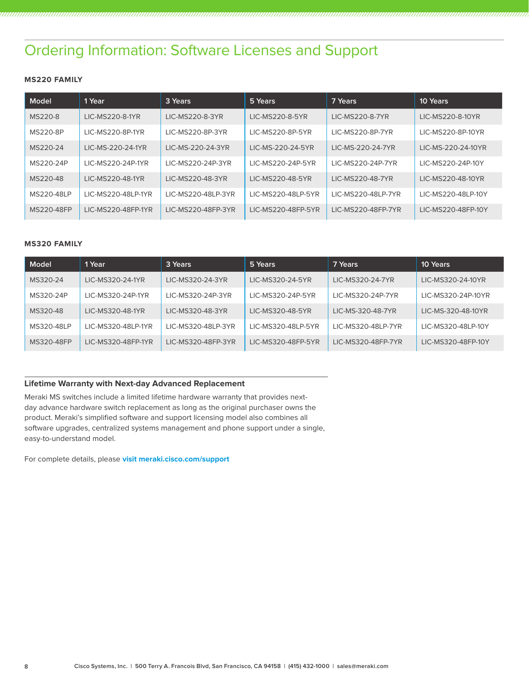# Ordering Information: Software Licenses and Support

### **MS220 FAMILY**

| Model      | 1 Year             | 3 Years            | 5 Years            | 7 Years              | 10 Years           |
|------------|--------------------|--------------------|--------------------|----------------------|--------------------|
| MS220-8    | LIC-MS220-8-1YR    | LIC-MS220-8-3YR    | LIC-MS220-8-5YR    | LIC-MS220-8-7YR      | LIC-MS220-8-10YR   |
| MS220-8P   | LIC-MS220-8P-1YR   | LIC-MS220-8P-3YR   | LIC-MS220-8P-5YR   | LIC-MS220-8P-7YR     | LIC-MS220-8P-10YR  |
| MS220-24   | LIC-MS-220-24-1YR  | LIC-MS-220-24-3YR  | LIC-MS-220-24-5YR  | LIC-MS-220-24-7YR    | LIC-MS-220-24-10YR |
| MS220-24P  | LIC-MS220-24P-1YR  | LIC-MS220-24P-3YR  | LIC-MS220-24P-5YR  | LIC-MS220-24P-7YR    | LIC-MS220-24P-10Y  |
| MS220-48   | LIC-MS220-48-1YR   | LIC-MS220-48-3YR   | LIC-MS220-48-5YR   | LIC-MS220-48-7YR     | LIC-MS220-48-10YR  |
| MS220-48LP | LIC-MS220-48LP-1YR | LIC-MS220-48LP-3YR | LIC-MS220-48LP-5YR | I IC-MS220-48I P-7YR | LIC-MS220-48LP-10Y |
| MS220-48FP | LIC-MS220-48FP-1YR | LIC-MS220-48FP-3YR | LIC-MS220-48FP-5YR | LIC-MS220-48FP-7YR   | LIC-MS220-48FP-10Y |

### **MS320 FAMILY**

| Model      | 1 Year             | 3 Years            | 5 Years            | 7 Years            | 10 Years           |
|------------|--------------------|--------------------|--------------------|--------------------|--------------------|
| MS320-24   | LIC-MS320-24-1YR   | LIC-MS320-24-3YR   | LIC-MS320-24-5YR   | LIC-MS320-24-7YR   | LIC-MS320-24-10YR  |
| MS320-24P  | LIC-MS320-24P-1YR  | LIC-MS320-24P-3YR  | LIC-MS320-24P-5YR  | LIC-MS320-24P-7YR  | LIC-MS320-24P-10YR |
| MS320-48   | LIC-MS320-48-1YR   | LIC-MS320-48-3YR   | LIC-MS320-48-5YR   | LIC-MS-320-48-7YR  | LIC-MS-320-48-10YR |
| MS320-48LP | LIC-MS320-48LP-1YR | LIC-MS320-48LP-3YR | LIC-MS320-48LP-5YR | LIC-MS320-48LP-7YR | LIC-MS320-48LP-10Y |
| MS320-48FP | LIC-MS320-48FP-1YR | LIC-MS320-48FP-3YR | LIC-MS320-48FP-5YR | LIC-MS320-48FP-7YR | LIC-MS320-48FP-10Y |

### **Lifetime Warranty with Next-day Advanced Replacement**

Meraki MS switches include a limited lifetime hardware warranty that provides nextday advance hardware switch replacement as long as the original purchaser owns the product. Meraki's simplified software and support licensing model also combines all software upgrades, centralized systems management and phone support under a single, easy-to-understand model.

For complete details, please **visit meraki.cisco.com/support**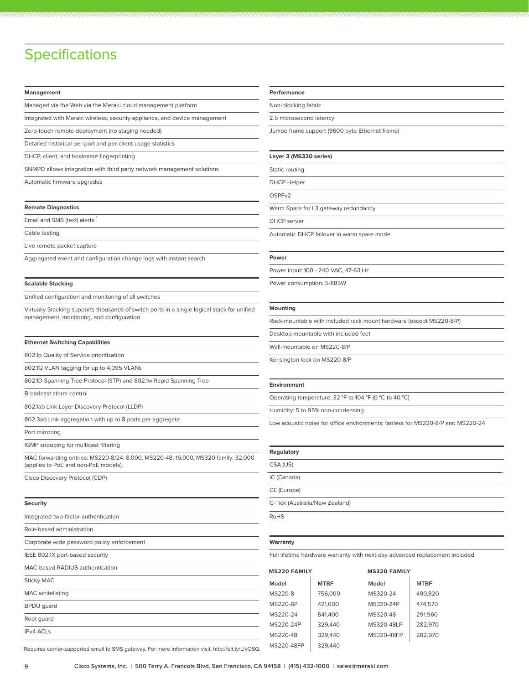# **Specifications**

#### **Management**

Managed via the Web via the Meraki cloud management platform

Integrated with Meraki wireless, security appliance, and device management

Zero-touch remote deployment (no staging needed)

Detailed historical per-port and per-client usage statistics

DHCP, client, and hostname fingerprinting

SNMPD allows integration with third party network management solutions

Automatic firmware upgrades

#### **Remote Diagnostics**

Email and SMS (text) alerts

Cable testing

Live remote packet capture

Aggregated event and configuration change logs with instant search

#### **Scalable Stacking**

Unified configuration and monitoring of all switches

Virtually Stacking supports thousands of switch ports in a single logical stack for unified management, monitoring, and configuration

#### **Ethernet Switching Capabilities**

802.1p Quality of Service prioritization

802.1Q VLAN tagging for up to 4,095 VLANs

802.1D Spanning Tree Protocol (STP) and 802.1w Rapid Spanning Tree

Broadcast storm control

802.1ab Link Layer Discovery Protocol (LLDP)

802.3ad Link aggregation with up to 8 ports per aggregate

Port mirroring

IGMP snooping for multicast filtering

MAC forwarding entries: MS220-8/24: 8,000, MS220-48: 16,000, MS320 family: 32,000 (applies to PoE and non-PoE models).

Cisco Discovery Protocol (CDP)

#### **Security**

Integrated two-factor authentication

Role-based administration

Corporate wide password policy enforcement

IEEE 802.1X port-based security

## MAC-based RADIUS authentication Sticky MAC MAC whitelisting BPDU guard Root guard IPv4 ACLs

#### **Performance**

Non-blocking fabric

2.5 microsecond latency

Jumbo frame support (9600 byte Ethernet frame)

#### **Layer 3 (MS320 series)**

Static routing

DHCP Helper

OSPFv2

Warm Spare for L3 gateway redundancy

DHCP server

Automatic DHCP failover in warm spare mode

#### **Power**

Power input: 100 - 240 VAC, 47-63 Hz

Power consumption: 5-885W

#### **Mounting**

Rack-mountable with included rack mount hardware (except MS220-8/P)

Desktop-mountable with included feet

Wall-mountable on MS220-8/P

Kensington lock on MS220-8/P

#### **Environment**

Operating temperature: 32 °F to 104 °F (0 °C to 40 °C)

Humidity: 5 to 95% non-condensing

Low acoustic noise for office environments; fanless for MS220-8/P and MS220-24

#### **Regulatory**

| CSA (US)                       |  |
|--------------------------------|--|
| IC (Canada)                    |  |
| CE (Europe)                    |  |
| C-Tick (Australia/New Zealand) |  |
| <b>RoHS</b>                    |  |

#### **Warranty**

Full lifetime hardware warranty with next-day advanced replacement included

| <b>MS220 FAMILY</b> |             |            | <b>MS320 FAMILY</b> |  |  |
|---------------------|-------------|------------|---------------------|--|--|
| Model               | <b>MTBF</b> | Model      | <b>MTBF</b>         |  |  |
| MS220-8             | 756,000     | MS320-24   | 490,820             |  |  |
| <b>MS220-8P</b>     | 421,000     | MS320-24P  | 474,570             |  |  |
| MS220-24            | 541,400     | MS320-48   | 291.960             |  |  |
| MS220-24P           | 329,440     | MS320-48LP | 282.970             |  |  |
| MS220-48            | 329,440     | MS320-48FP | 282.970             |  |  |
|                     |             |            |                     |  |  |

<sup>1</sup> MS220-48FP 329,440 Requires carrier-supported email to SMS gateway. For more information visit: http://bit.ly/LIkOSQ.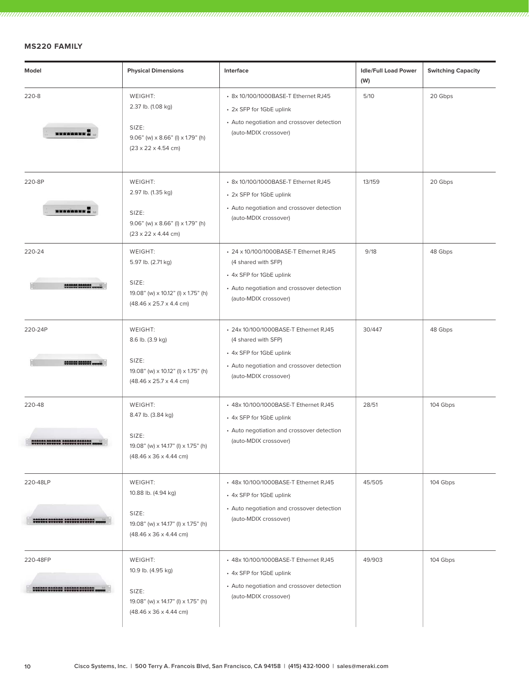### **MS220 FAMILY**

| Model                                          | <b>Physical Dimensions</b>                                                                                                     | Interface                                                                                                                                                        | <b>Idle/Full Load Power</b><br>(W) | <b>Switching Capacity</b> |
|------------------------------------------------|--------------------------------------------------------------------------------------------------------------------------------|------------------------------------------------------------------------------------------------------------------------------------------------------------------|------------------------------------|---------------------------|
| 220-8<br><b>SERGEREE</b>                       | WEIGHT:<br>2.37 lb. (1.08 kg)<br>SIZE:<br>$9.06$ " (w) x 8.66" (l) x 1.79" (h)<br>$(23 \times 22 \times 4.54$ cm)              | • 8x 10/100/1000BASE-T Ethernet RJ45<br>• 2x SFP for 1GbE uplink<br>• Auto negotiation and crossover detection<br>(auto-MDIX crossover)                          | 5/10                               | 20 Gbps                   |
| 220-8P<br><b>BERREERS</b>                      | WEIGHT:<br>2.97 lb. (1.35 kg)<br>SIZE:<br>$9.06"$ (w) $\times$ 8.66" (l) $\times$ 1.79" (h)<br>$(23 \times 22 \times 4.44$ cm) | • 8x 10/100/1000BASE-T Ethernet RJ45<br>• 2x SFP for 1GbE uplink<br>• Auto negotiation and crossover detection<br>(auto-MDIX crossover)                          | 13/159                             | 20 Gbps                   |
| 220-24<br>-------------                        | WEIGHT:<br>5.97 lb. (2.71 kg)<br>SIZE:<br>19.08" (w) x 10.12" (l) x 1.75" (h)<br>$(48.46 \times 25.7 \times 4.4 \text{ cm})$   | • 24 x 10/100/1000BASE-T Ethernet RJ45<br>(4 shared with SFP)<br>• 4x SFP for 1GbE uplink<br>• Auto negotiation and crossover detection<br>(auto-MDIX crossover) | 9/18                               | 48 Gbps                   |
| 220-24P<br>000000 000000                       | WEIGHT:<br>8.6 lb. (3.9 kg)<br>SIZE:<br>19.08" (w) x 10.12" (l) x 1.75" (h)<br>$(48.46 \times 25.7 \times 4.4 \text{ cm})$     | • 24x 10/100/1000BASE-T Ethernet RJ45<br>(4 shared with SFP)<br>• 4x SFP for 1GbE uplink<br>• Auto negotiation and crossover detection<br>(auto-MDIX crossover)  | 30/447                             | 48 Gbps                   |
| 220-48<br>00000 000000 000000 000000           | WEIGHT:<br>8.47 lb. (3.84 kg)<br>SIZE:<br>19.08" (w) x 14.17" (l) x 1.75" (h)<br>$(48.46 \times 36 \times 4.44 \text{ cm})$    | + 48x 10/100/1000BASE-T Ethernet RJ45<br>• 4x SFP for 1GbE uplink<br>• Auto negotiation and crossover detection<br>(auto-MDIX crossover)                         | 28/51                              | 104 Gbps                  |
| 220-48LP<br><u>556668 566666 566666 666666</u> | WEIGHT:<br>10.88 lb. (4.94 kg)<br>SIZE:<br>19.08" (w) x 14.17" (l) x 1.75" (h)<br>$(48.46 \times 36 \times 4.44 \text{ cm})$   | • 48x 10/100/1000BASE-T Ethernet RJ45<br>• 4x SFP for 1GbE uplink<br>• Auto negotiation and crossover detection<br>(auto-MDIX crossover)                         | 45/505                             | 104 Gbps                  |
| 220-48FP<br>,,,,,,,,,,,,,,,,,,,,               | WEIGHT:<br>10.9 lb. (4.95 kg)<br>SIZE:<br>19.08" (w) x 14.17" (l) x 1.75" (h)<br>$(48.46 \times 36 \times 4.44 \text{ cm})$    | • 48x 10/100/1000BASE-T Ethernet RJ45<br>• 4x SFP for 1GbE uplink<br>• Auto negotiation and crossover detection<br>(auto-MDIX crossover)                         | 49/903                             | 104 Gbps                  |